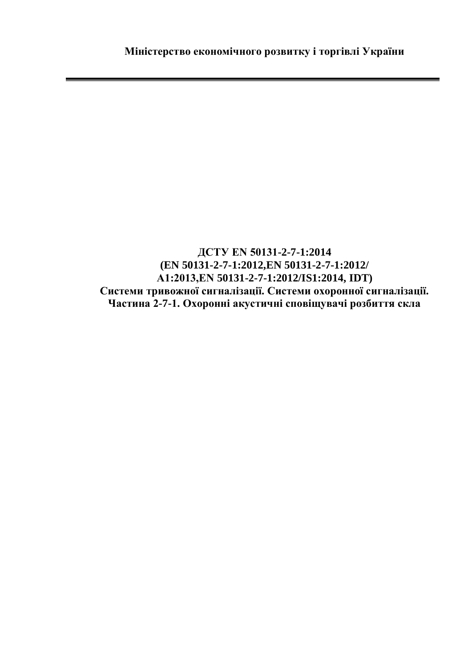**ДСТУ EN 50131-2-7-1:2014 (EN 50131-2-7-1:2012,EN 50131-2-7-1:2012/ А1:2013,EN 50131-2-7-1:2012/IS1:2014, IDT) Системи тривожної сигналізації. Системи охоронної сигналізації. Частина 2-7-1. Охоронні акустичні сповіщувачі розбиття скла**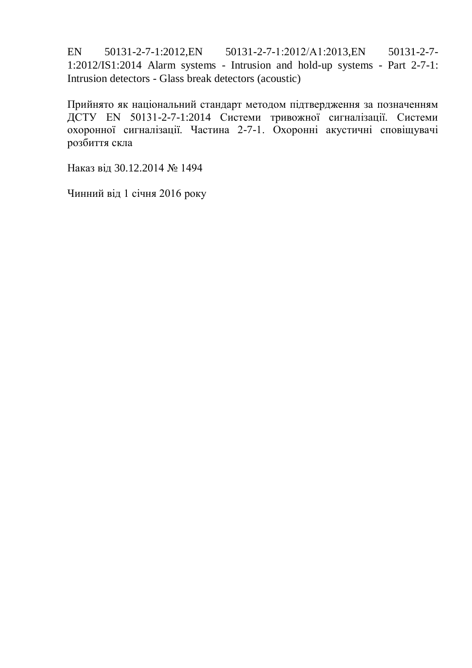EN 50131-2-7-1:2012, EN 50131-2-7-1:2012/A1:2013, EN 50131-2-7-1:2012/IS1:2014 Alarm systems - Intrusion and hold-up systems - Part 2-7-1: Intrusion detectors - Glass break detectors (acoustic)

Прийнято як національний стандарт методом підтвердження за позначенням ДСТУ EN 50131-2-7-1:2014 Системи тривожної сигналізації. Системи охоронної сигналізації. Частина 2-7-1. Охоронні акустичні сповіщувачі розбиття скла

Наказ від 30.12.2014 № 1494

Чинний від 1 січня 2016 року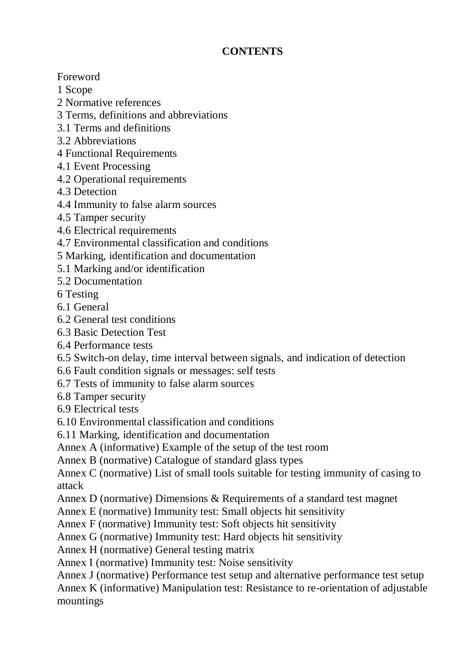## **CONTENTS**

Foreword

1 Scope

2 Normative references

3 Terms, definitions and abbreviations

3.1 Terms and definitions

3.2 Abbreviations

4 Functional Requirements

4.1 Event Processing

4.2 Operational requirements

4.3 Detection

4.4 Immunity to false alarm sources

4.5 Tamper security

4.6 Electrical requirements

4.7 Environmental classification and conditions

5 Marking, identification and documentation

5.1 Marking and/or identification

5.2 Documentation

6 Testing

6.1 General

6.2 General test conditions

6.3 Basic Detection Test

6.4 Performance tests

6.5 Switch-on delay, time interval between signals, and indication of detection

6.6 Fault condition signals or messages: self tests

6.7 Tests of immunity to false alarm sources

6.8 Tamper security

6.9 Electrical tests

6.10 Environmental classification and conditions

6.11 Marking, identification and documentation

Annex A (informative) Example of the setup of the test room

Annex B (normative) Catalogue of standard glass types

Annex C (normative) List of small tools suitable for testing immunity of casing to attack

Annex D (normative) Dimensions & Requirements of a standard test magnet

Annex E (normative) Immunity test: Small objects hit sensitivity

Annex F (normative) Immunity test: Soft objects hit sensitivity

Annex G (normative) Immunity test: Hard objects hit sensitivity

Annex H (normative) General testing matrix

Annex I (normative) Immunity test: Noise sensitivity

Annex J (normative) Performance test setup and alternative performance test setup Annex K (informative) Manipulation test: Resistance to re-orientation of adjustable mountings